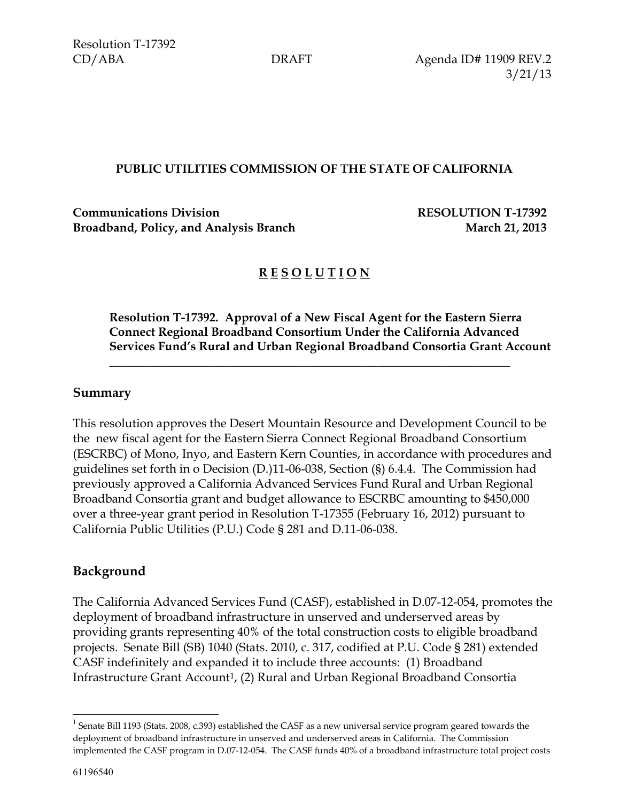CD/ABA DRAFT Agenda ID# 11909 REV.2 3/21/13

### **PUBLIC UTILITIES COMMISSION OF THE STATE OF CALIFORNIA**

**Communications Division RESOLUTION T-17392 Broadband, Policy, and Analysis Branch March 21, 2013** 

# **R E S O L U T I O N**

\_\_\_\_\_\_\_\_**\_**\_\_\_\_\_\_\_\_\_\_\_\_\_\_\_\_\_\_\_\_\_\_\_\_\_\_\_\_\_\_\_\_\_\_\_\_\_\_\_\_\_\_\_\_\_\_\_\_\_\_\_\_\_\_\_\_\_

**Resolution T-17392. Approval of a New Fiscal Agent for the Eastern Sierra Connect Regional Broadband Consortium Under the California Advanced Services Fund's Rural and Urban Regional Broadband Consortia Grant Account**

### **Summary**

This resolution approves the Desert Mountain Resource and Development Council to be the new fiscal agent for the Eastern Sierra Connect Regional Broadband Consortium (ESCRBC) of Mono, Inyo, and Eastern Kern Counties, in accordance with procedures and guidelines set forth in o Decision (D.)11-06-038, Section (§) 6.4.4. The Commission had previously approved a California Advanced Services Fund Rural and Urban Regional Broadband Consortia grant and budget allowance to ESCRBC amounting to \$450,000 over a three-year grant period in Resolution T-17355 (February 16, 2012) pursuant to California Public Utilities (P.U.) Code § 281 and D.11-06-038.

### **Background**

The California Advanced Services Fund (CASF), established in D.07-12-054, promotes the deployment of broadband infrastructure in unserved and underserved areas by providing grants representing 40% of the total construction costs to eligible broadband projects. Senate Bill (SB) 1040 (Stats. 2010, c. 317, codified at P.U. Code § 281) extended CASF indefinitely and expanded it to include three accounts: (1) Broadband Infrastructure Grant Account<sup>1</sup>, (2) Rural and Urban Regional Broadband Consortia

l

 $^1$  Senate Bill 1193 (Stats. 2008, c.393) established the CASF as a new universal service program geared towards the deployment of broadband infrastructure in unserved and underserved areas in California. The Commission implemented the CASF program in D.07-12-054. The CASF funds 40% of a broadband infrastructure total project costs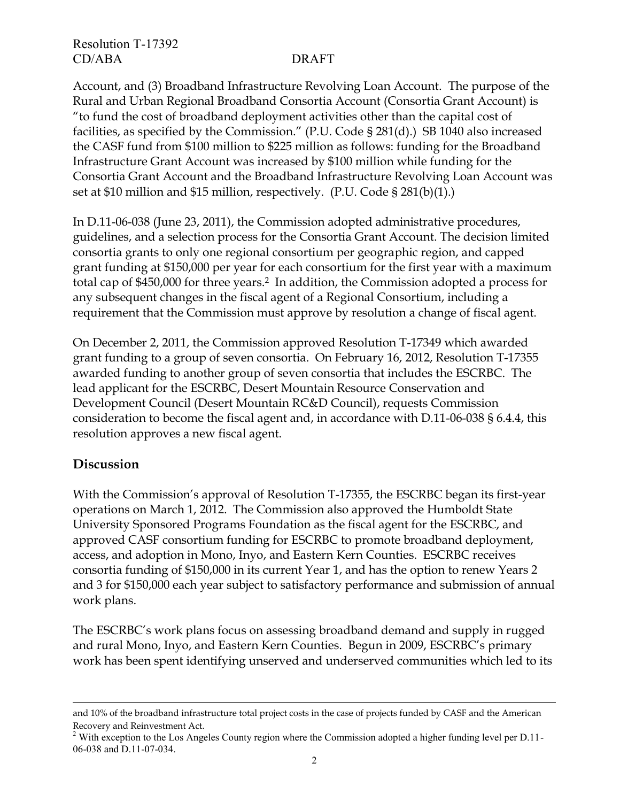Account, and (3) Broadband Infrastructure Revolving Loan Account. The purpose of the Rural and Urban Regional Broadband Consortia Account (Consortia Grant Account) is "to fund the cost of broadband deployment activities other than the capital cost of facilities, as specified by the Commission." (P.U. Code § 281(d).) SB 1040 also increased the CASF fund from \$100 million to \$225 million as follows: funding for the Broadband Infrastructure Grant Account was increased by \$100 million while funding for the Consortia Grant Account and the Broadband Infrastructure Revolving Loan Account was set at \$10 million and \$15 million, respectively. (P.U. Code § 281(b)(1).)

In D.11-06-038 (June 23, 2011), the Commission adopted administrative procedures, guidelines, and a selection process for the Consortia Grant Account. The decision limited consortia grants to only one regional consortium per geographic region, and capped grant funding at \$150,000 per year for each consortium for the first year with a maximum total cap of \$450,000 for three years.2 In addition, the Commission adopted a process for any subsequent changes in the fiscal agent of a Regional Consortium, including a requirement that the Commission must approve by resolution a change of fiscal agent.

On December 2, 2011, the Commission approved Resolution T-17349 which awarded grant funding to a group of seven consortia. On February 16, 2012, Resolution T-17355 awarded funding to another group of seven consortia that includes the ESCRBC. The lead applicant for the ESCRBC, Desert Mountain Resource Conservation and Development Council (Desert Mountain RC&D Council), requests Commission consideration to become the fiscal agent and, in accordance with D.11-06-038 § 6.4.4, this resolution approves a new fiscal agent.

### **Discussion**

 $\overline{a}$ 

With the Commission's approval of Resolution T-17355, the ESCRBC began its first-year operations on March 1, 2012. The Commission also approved the Humboldt State University Sponsored Programs Foundation as the fiscal agent for the ESCRBC, and approved CASF consortium funding for ESCRBC to promote broadband deployment, access, and adoption in Mono, Inyo, and Eastern Kern Counties. ESCRBC receives consortia funding of \$150,000 in its current Year 1, and has the option to renew Years 2 and 3 for \$150,000 each year subject to satisfactory performance and submission of annual work plans.

The ESCRBC's work plans focus on assessing broadband demand and supply in rugged and rural Mono, Inyo, and Eastern Kern Counties. Begun in 2009, ESCRBC's primary work has been spent identifying unserved and underserved communities which led to its

and 10% of the broadband infrastructure total project costs in the case of projects funded by CASF and the American Recovery and Reinvestment Act.

<sup>&</sup>lt;sup>2</sup> With exception to the Los Angeles County region where the Commission adopted a higher funding level per D.11-06-038 and D.11-07-034.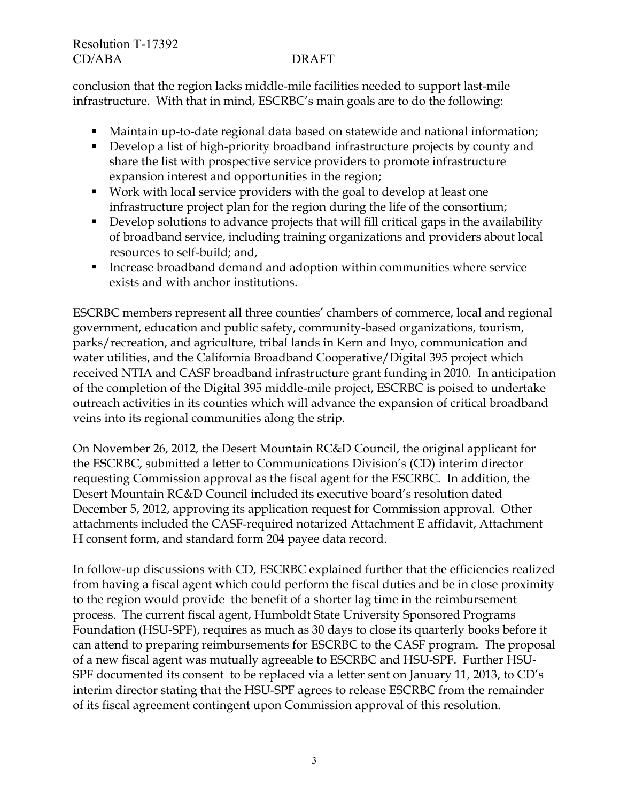conclusion that the region lacks middle-mile facilities needed to support last-mile infrastructure. With that in mind, ESCRBC's main goals are to do the following:

- Maintain up-to-date regional data based on statewide and national information;
- Develop a list of high-priority broadband infrastructure projects by county and share the list with prospective service providers to promote infrastructure expansion interest and opportunities in the region;
- Work with local service providers with the goal to develop at least one infrastructure project plan for the region during the life of the consortium;
- Develop solutions to advance projects that will fill critical gaps in the availability of broadband service, including training organizations and providers about local resources to self-build; and,
- Increase broadband demand and adoption within communities where service exists and with anchor institutions.

ESCRBC members represent all three counties' chambers of commerce, local and regional government, education and public safety, community-based organizations, tourism, parks/recreation, and agriculture, tribal lands in Kern and Inyo, communication and water utilities, and the California Broadband Cooperative/Digital 395 project which received NTIA and CASF broadband infrastructure grant funding in 2010. In anticipation of the completion of the Digital 395 middle-mile project, ESCRBC is poised to undertake outreach activities in its counties which will advance the expansion of critical broadband veins into its regional communities along the strip.

On November 26, 2012, the Desert Mountain RC&D Council, the original applicant for the ESCRBC, submitted a letter to Communications Division's (CD) interim director requesting Commission approval as the fiscal agent for the ESCRBC. In addition, the Desert Mountain RC&D Council included its executive board's resolution dated December 5, 2012, approving its application request for Commission approval. Other attachments included the CASF-required notarized Attachment E affidavit, Attachment H consent form, and standard form 204 payee data record.

In follow-up discussions with CD, ESCRBC explained further that the efficiencies realized from having a fiscal agent which could perform the fiscal duties and be in close proximity to the region would provide the benefit of a shorter lag time in the reimbursement process. The current fiscal agent, Humboldt State University Sponsored Programs Foundation (HSU-SPF), requires as much as 30 days to close its quarterly books before it can attend to preparing reimbursements for ESCRBC to the CASF program. The proposal of a new fiscal agent was mutually agreeable to ESCRBC and HSU-SPF. Further HSU-SPF documented its consent to be replaced via a letter sent on January 11, 2013, to CD's interim director stating that the HSU-SPF agrees to release ESCRBC from the remainder of its fiscal agreement contingent upon Commission approval of this resolution.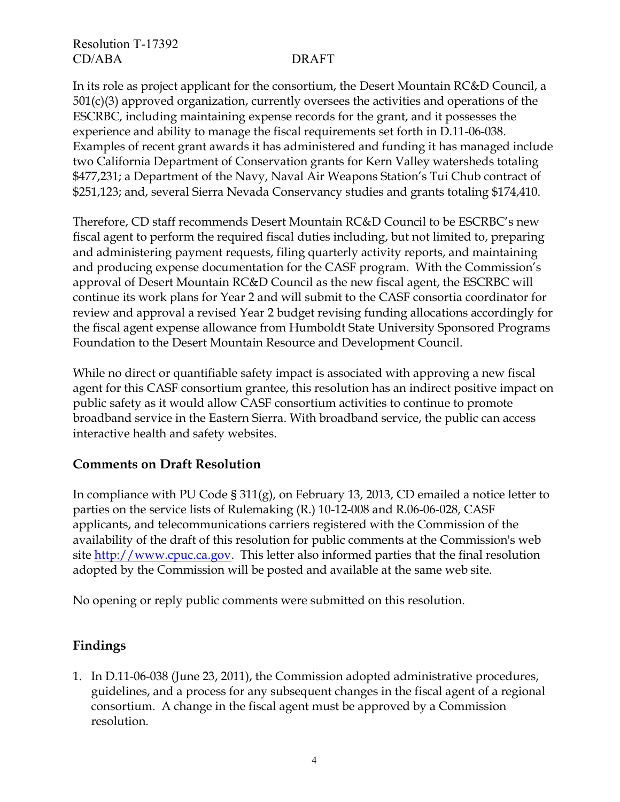In its role as project applicant for the consortium, the Desert Mountain RC&D Council, a 501(c)(3) approved organization, currently oversees the activities and operations of the ESCRBC, including maintaining expense records for the grant, and it possesses the experience and ability to manage the fiscal requirements set forth in D.11-06-038. Examples of recent grant awards it has administered and funding it has managed include two California Department of Conservation grants for Kern Valley watersheds totaling \$477,231; a Department of the Navy, Naval Air Weapons Station's Tui Chub contract of \$251,123; and, several Sierra Nevada Conservancy studies and grants totaling \$174,410.

Therefore, CD staff recommends Desert Mountain RC&D Council to be ESCRBC's new fiscal agent to perform the required fiscal duties including, but not limited to, preparing and administering payment requests, filing quarterly activity reports, and maintaining and producing expense documentation for the CASF program. With the Commission's approval of Desert Mountain RC&D Council as the new fiscal agent, the ESCRBC will continue its work plans for Year 2 and will submit to the CASF consortia coordinator for review and approval a revised Year 2 budget revising funding allocations accordingly for the fiscal agent expense allowance from Humboldt State University Sponsored Programs Foundation to the Desert Mountain Resource and Development Council.

While no direct or quantifiable safety impact is associated with approving a new fiscal agent for this CASF consortium grantee, this resolution has an indirect positive impact on public safety as it would allow CASF consortium activities to continue to promote broadband service in the Eastern Sierra. With broadband service, the public can access interactive health and safety websites.

### **Comments on Draft Resolution**

In compliance with PU Code § 311(g), on February 13, 2013, CD emailed a notice letter to parties on the service lists of Rulemaking (R.) 10-12-008 and R.06-06-028, CASF applicants, and telecommunications carriers registered with the Commission of the availability of the draft of this resolution for public comments at the Commission's web site [http://www.cpuc.ca.gov.](http://www.cpuc.ca.gov/) This letter also informed parties that the final resolution adopted by the Commission will be posted and available at the same web site.

No opening or reply public comments were submitted on this resolution.

# **Findings**

1. In D.11-06-038 (June 23, 2011), the Commission adopted administrative procedures, guidelines, and a process for any subsequent changes in the fiscal agent of a regional consortium. A change in the fiscal agent must be approved by a Commission resolution.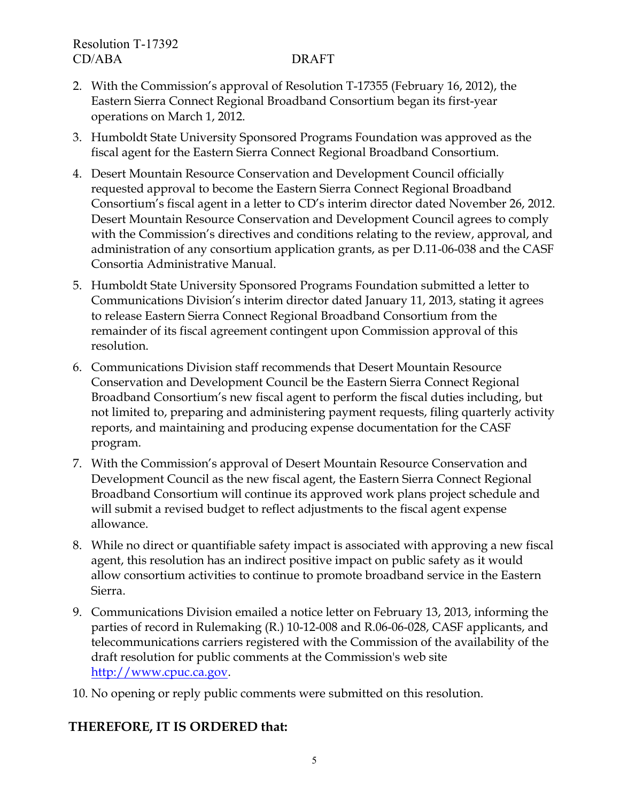- 2. With the Commission's approval of Resolution T-17355 (February 16, 2012), the Eastern Sierra Connect Regional Broadband Consortium began its first-year operations on March 1, 2012.
- 3. Humboldt State University Sponsored Programs Foundation was approved as the fiscal agent for the Eastern Sierra Connect Regional Broadband Consortium.
- 4. Desert Mountain Resource Conservation and Development Council officially requested approval to become the Eastern Sierra Connect Regional Broadband Consortium's fiscal agent in a letter to CD's interim director dated November 26, 2012. Desert Mountain Resource Conservation and Development Council agrees to comply with the Commission's directives and conditions relating to the review, approval, and administration of any consortium application grants, as per D.11-06-038 and the CASF Consortia Administrative Manual.
- 5. Humboldt State University Sponsored Programs Foundation submitted a letter to Communications Division's interim director dated January 11, 2013, stating it agrees to release Eastern Sierra Connect Regional Broadband Consortium from the remainder of its fiscal agreement contingent upon Commission approval of this resolution.
- 6. Communications Division staff recommends that Desert Mountain Resource Conservation and Development Council be the Eastern Sierra Connect Regional Broadband Consortium's new fiscal agent to perform the fiscal duties including, but not limited to, preparing and administering payment requests, filing quarterly activity reports, and maintaining and producing expense documentation for the CASF program.
- 7. With the Commission's approval of Desert Mountain Resource Conservation and Development Council as the new fiscal agent, the Eastern Sierra Connect Regional Broadband Consortium will continue its approved work plans project schedule and will submit a revised budget to reflect adjustments to the fiscal agent expense allowance.
- 8. While no direct or quantifiable safety impact is associated with approving a new fiscal agent, this resolution has an indirect positive impact on public safety as it would allow consortium activities to continue to promote broadband service in the Eastern Sierra.
- 9. Communications Division emailed a notice letter on February 13, 2013, informing the parties of record in Rulemaking (R.) 10-12-008 and R.06-06-028, CASF applicants, and telecommunications carriers registered with the Commission of the availability of the draft resolution for public comments at the Commission's web site [http://www.cpuc.ca.gov.](http://www.cpuc.ca.gov/)
- 10. No opening or reply public comments were submitted on this resolution.

# **THEREFORE, IT IS ORDERED that:**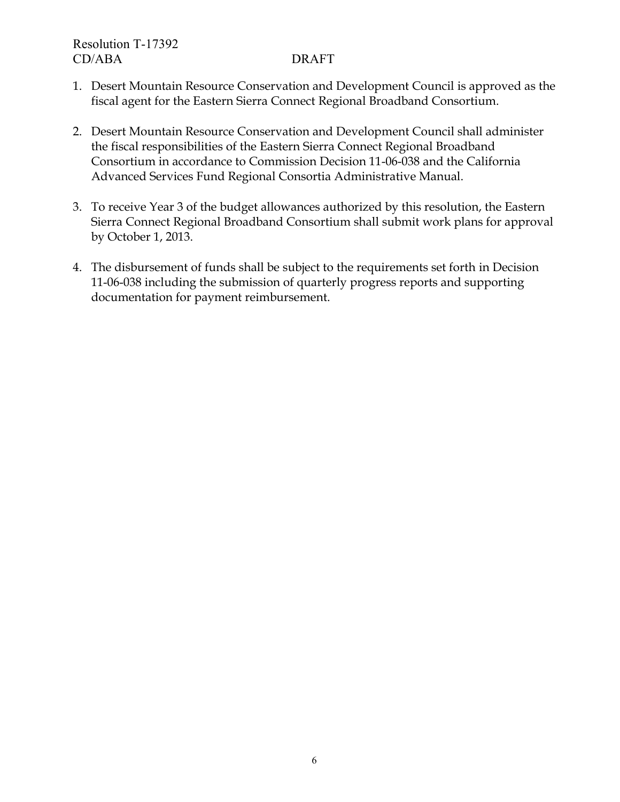- 1. Desert Mountain Resource Conservation and Development Council is approved as the fiscal agent for the Eastern Sierra Connect Regional Broadband Consortium.
- 2. Desert Mountain Resource Conservation and Development Council shall administer the fiscal responsibilities of the Eastern Sierra Connect Regional Broadband Consortium in accordance to Commission Decision 11-06-038 and the California Advanced Services Fund Regional Consortia Administrative Manual.
- 3. To receive Year 3 of the budget allowances authorized by this resolution, the Eastern Sierra Connect Regional Broadband Consortium shall submit work plans for approval by October 1, 2013.
- 4. The disbursement of funds shall be subject to the requirements set forth in Decision 11-06-038 including the submission of quarterly progress reports and supporting documentation for payment reimbursement.